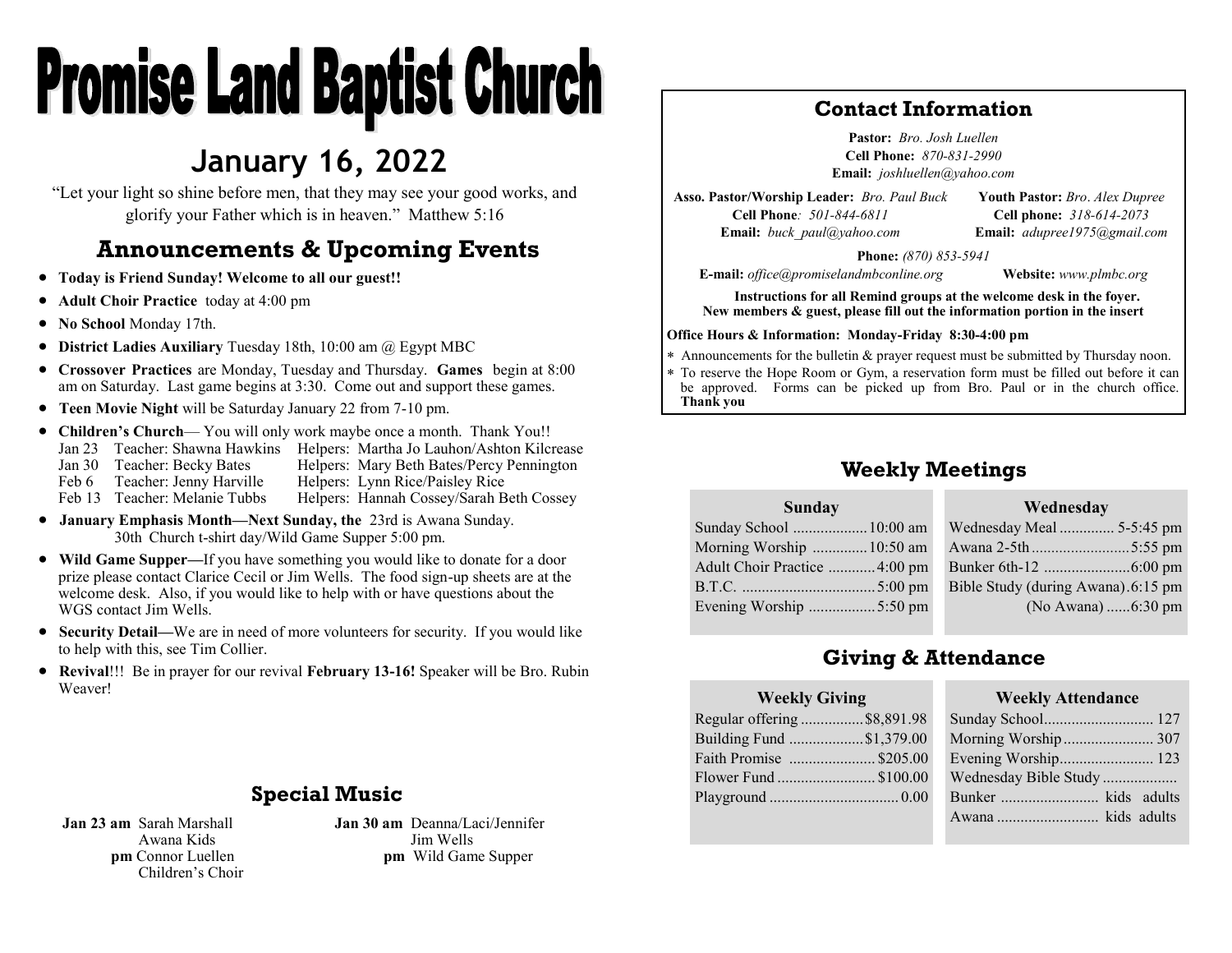# **Promise Land Baptist Church**

## **January 16, 2022**

"Let your light so shine before men, that they may see your good works, and glorify your Father which is in heaven." Matthew 5:16

## **Announcements & Upcoming Events**

- **Today is Friend Sunday! Welcome to all our guest!!**
- **Adult Choir Practice** today at 4:00 pm
- **No School** Monday 17th.
- **District Ladies Auxiliary** Tuesday 18th, 10:00 am @ Egypt MBC
- **Crossover Practices** are Monday, Tuesday and Thursday. **Games** begin at 8:00 am on Saturday. Last game begins at 3:30. Come out and support these games.
- **Teen Movie Night** will be Saturday January 22 from 7-10 pm.
- **Children's Church** You will only work maybe once a month. Thank You!! Jan 23 Teacher: Shawna Hawkins Helpers: Martha Jo Lauhon/Ashton Kilcrease Jan 30 Teacher: Becky Bates Helpers: Mary Beth Bates/Percy Pennington Feb 6 Teacher: Jenny Harville Helpers: Lynn Rice/Paisley Rice Helpers: Hannah Cossey/Sarah Beth Cossey
- **January Emphasis Month—Next Sunday, the** 23rd is Awana Sunday. 30th Church t-shirt day/Wild Game Supper 5:00 pm.
- **Wild Game Supper—**If you have something you would like to donate for a door prize please contact Clarice Cecil or Jim Wells. The food sign-up sheets are at the welcome desk. Also, if you would like to help with or have questions about the WGS contact Jim Wells.
- **Security Detail—**We are in need of more volunteers for security. If you would like to help with this, see Tim Collier.
- **Revival**!!! Be in prayer for our revival **February 13-16!** Speaker will be Bro. Rubin Weaver!

## **Special Music**

**Jan 23 am** Sarah Marshall Awana Kids **pm** Connor Luellen Children's Choir **Jan 30 am** Deanna/Laci/Jennifer Jim Wells **pm** Wild Game Supper

## **Contact Information**

**Pastor:** *Bro. Josh Luellen* **Cell Phone:** *870-831-2990* **Email:** *joshluellen@yahoo.com* 

**Asso. Pastor/Worship Leader:** *Bro. Paul Buck* **Cell Phone***: 501-844-6811* **Email:** *buck\_paul@yahoo.com*

**Youth Pastor:** *Bro*. *Alex Dupree* **Cell phone:** *318-614-2073* **Email:** *adupree1975@gmail.com*

**Phone:** *(870) 853-5941*

**E-mail:** *office@promiselandmbconline.org* **Website:** *www.plmbc.org*

**Instructions for all Remind groups at the welcome desk in the foyer. New members & guest, please fill out the information portion in the insert**

## **Office Hours & Information: Monday-Friday 8:30-4:00 pm**

Announcements for the bulletin & prayer request must be submitted by Thursday noon.

 To reserve the Hope Room or Gym, a reservation form must be filled out before it can be approved. Forms can be picked up from Bro. Paul or in the church office. **Thank you**

## **Weekly Meetings**

#### **Sunday** Sunday School ...................10:00 am Morning Worship ..............10:50 am Adult Choir Practice ............4:00 pm B.T.C. ..................................5:00 pm Evening Worship .................5:50 pm **Wednesday** Wednesday Meal .............. 5-5:45 pm Awana 2-5th *.........................*5:55 pm Bunker 6th-12 ......................6:00 pm Bible Study (during Awana).6:15 pm (No Awana) ......6:30 pm

## **Giving & Attendance**

## **Weekly Giving**

| Regular offering \$8,891.98 |
|-----------------------------|
| Building Fund \$1,379.00    |
| Faith Promise  \$205.00     |
| Flower Fund  \$100.00       |
|                             |
|                             |

## **Weekly Attendance**

| Sunday School 127     |  |
|-----------------------|--|
| Morning Worship 307   |  |
| Evening Worship 123   |  |
| Wednesday Bible Study |  |
|                       |  |
|                       |  |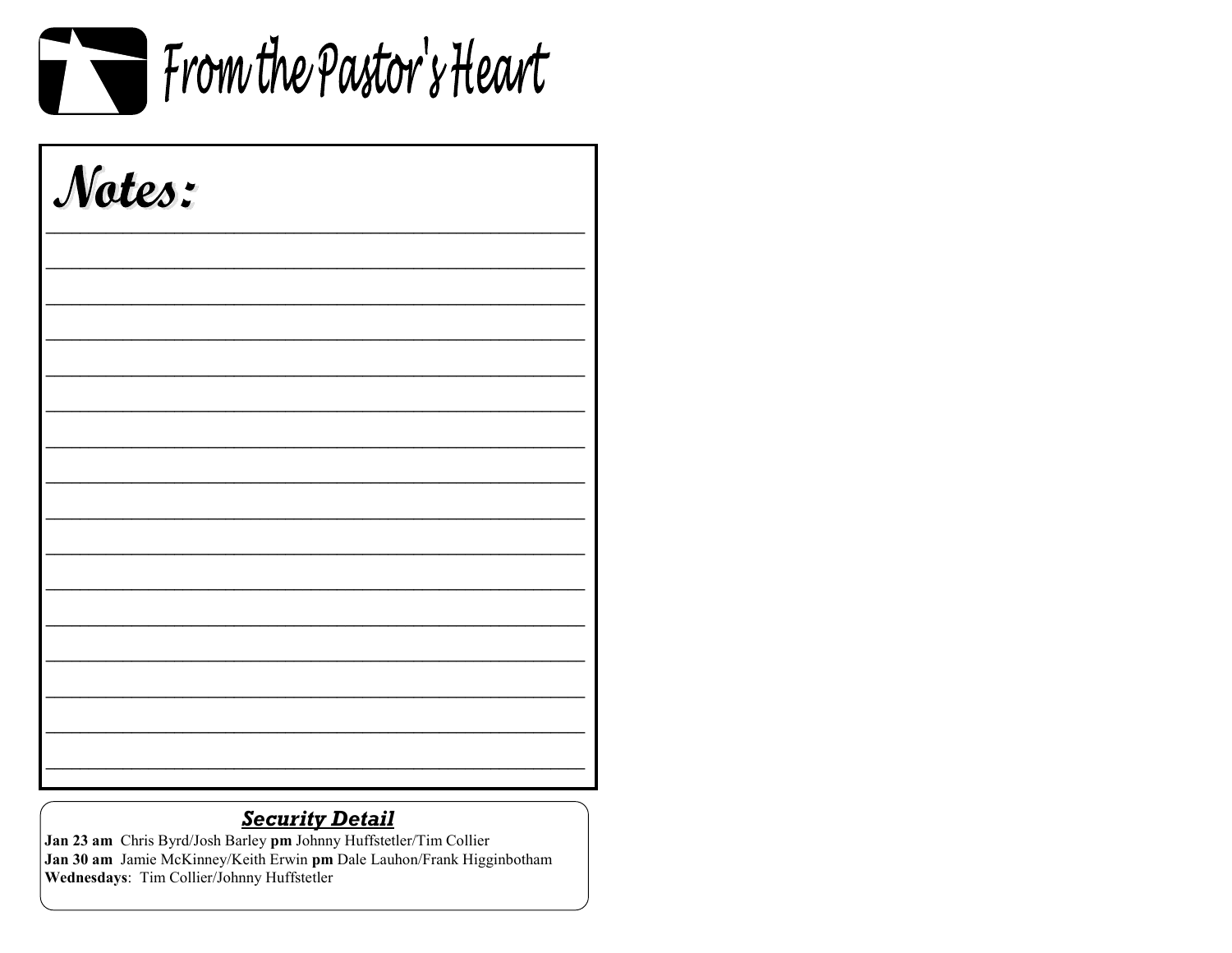

| Notes: |  |  |
|--------|--|--|
|        |  |  |
|        |  |  |
|        |  |  |
|        |  |  |
|        |  |  |
|        |  |  |
|        |  |  |
|        |  |  |
|        |  |  |

## **Security Detail**

Jan 23 am Chris Byrd/Josh Barley pm Johnny Huffstetler/Tim Collier Jan 30 am Jamie McKinney/Keith Erwin pm Dale Lauhon/Frank Higginbotham Wednesdays: Tim Collier/Johnny Huffstetler